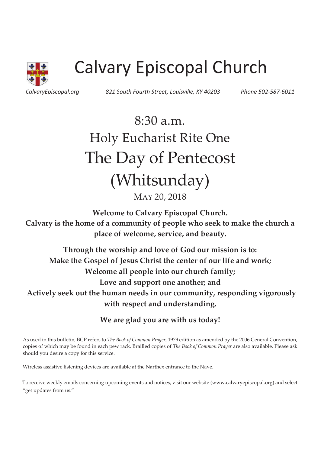

# Calvary Episcopal Church

*CalvaryEpiscopal.org 821 South Fourth Street, Louisville, KY 40203 Phone 502-587-6011* 

## 8:30 a.m. Holy Eucharist Rite One The Day of Pentecost (Whitsunday) MAY 20, 2018

**Welcome to Calvary Episcopal Church. Calvary is the home of a community of people who seek to make the church a place of welcome, service, and beauty.**

**Through the worship and love of God our mission is to: Make the Gospel of Jesus Christ the center of our life and work; Welcome all people into our church family; Love and support one another; and Actively seek out the human needs in our community, responding vigorously with respect and understanding.**

**We are glad you are with us today!** 

As used in this bulletin, BCP refers to *The Book of Common Prayer*, 1979 edition as amended by the 2006 General Convention, copies of which may be found in each pew rack. Brailled copies of *The Book of Common Prayer* are also available. Please ask should you desire a copy for this service.

Wireless assistive listening devices are available at the Narthex entrance to the Nave.

To receive weekly emails concerning upcoming events and notices, visit our website (www.calvaryepiscopal.org) and select "get updates from us."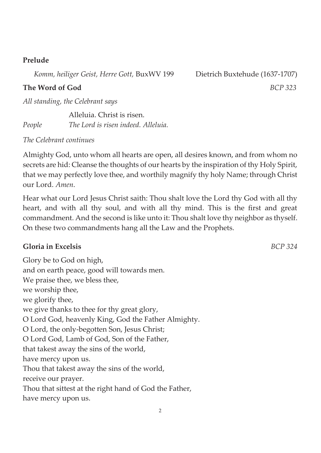#### **Prelude**

 *Komm, heiliger Geist, Herre Gott,* BuxWV 199 Dietrich Buxtehude (1637-1707)

*All standing, the Celebrant says* 

 Alleluia. Christ is risen. *People The Lord is risen indeed. Alleluia.* 

#### *The Celebrant continues*

Almighty God, unto whom all hearts are open, all desires known, and from whom no secrets are hid: Cleanse the thoughts of our hearts by the inspiration of thy Holy Spirit, that we may perfectly love thee, and worthily magnify thy holy Name; through Christ our Lord. *Amen*.

Hear what our Lord Jesus Christ saith: Thou shalt love the Lord thy God with all thy heart, and with all thy soul, and with all thy mind. This is the first and great commandment. And the second is like unto it: Thou shalt love thy neighbor as thyself. On these two commandments hang all the Law and the Prophets.

#### **Gloria in Excelsis** *BCP 324*

Glory be to God on high, and on earth peace, good will towards men. We praise thee, we bless thee, we worship thee, we glorify thee, we give thanks to thee for thy great glory, O Lord God, heavenly King, God the Father Almighty. O Lord, the only-begotten Son, Jesus Christ; O Lord God, Lamb of God, Son of the Father, that takest away the sins of the world, have mercy upon us. Thou that takest away the sins of the world, receive our prayer. Thou that sittest at the right hand of God the Father, have mercy upon us.

**The Word of God** *BCP 323*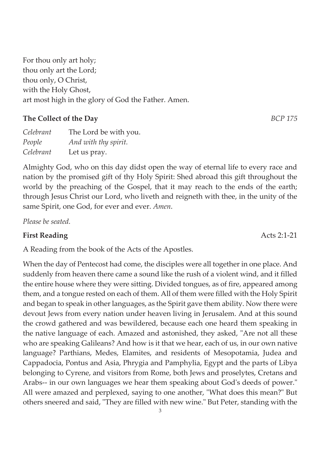3

For thou only art holy; thou only art the Lord; thou only, O Christ, with the Holy Ghost, art most high in the glory of God the Father. Amen.

### **The Collect of the Day** *BCP 175*

| Celebrant | The Lord be with you. |
|-----------|-----------------------|
| People    | And with thy spirit.  |
| Celebrant | Let us pray.          |

Almighty God, who on this day didst open the way of eternal life to every race and nation by the promised gift of thy Holy Spirit: Shed abroad this gift throughout the world by the preaching of the Gospel, that it may reach to the ends of the earth; through Jesus Christ our Lord, who liveth and reigneth with thee, in the unity of the same Spirit, one God, for ever and ever. *Amen*.

*Please be seated.* 

### **First Reading** Acts 2:1-21

A Reading from the book of the Acts of the Apostles.

When the day of Pentecost had come, the disciples were all together in one place. And suddenly from heaven there came a sound like the rush of a violent wind, and it filled the entire house where they were sitting. Divided tongues, as of fire, appeared among them, and a tongue rested on each of them. All of them were filled with the Holy Spirit and began to speak in other languages, as the Spirit gave them ability. Now there were devout Jews from every nation under heaven living in Jerusalem. And at this sound the crowd gathered and was bewildered, because each one heard them speaking in the native language of each. Amazed and astonished, they asked, "Are not all these who are speaking Galileans? And how is it that we hear, each of us, in our own native language? Parthians, Medes, Elamites, and residents of Mesopotamia, Judea and Cappadocia, Pontus and Asia, Phrygia and Pamphylia, Egypt and the parts of Libya belonging to Cyrene, and visitors from Rome, both Jews and proselytes, Cretans and Arabs-- in our own languages we hear them speaking about God's deeds of power." All were amazed and perplexed, saying to one another, "What does this mean?" But others sneered and said, "They are filled with new wine." But Peter, standing with the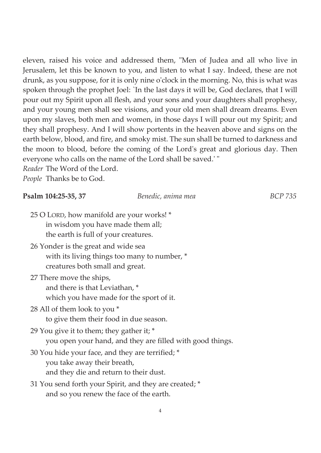eleven, raised his voice and addressed them, "Men of Judea and all who live in Jerusalem, let this be known to you, and listen to what I say. Indeed, these are not drunk, as you suppose, for it is only nine o'clock in the morning. No, this is what was spoken through the prophet Joel: `In the last days it will be, God declares, that I will pour out my Spirit upon all flesh, and your sons and your daughters shall prophesy, and your young men shall see visions, and your old men shall dream dreams. Even upon my slaves, both men and women, in those days I will pour out my Spirit; and they shall prophesy. And I will show portents in the heaven above and signs on the earth below, blood, and fire, and smoky mist. The sun shall be turned to darkness and the moon to blood, before the coming of the Lord's great and glorious day. Then everyone who calls on the name of the Lord shall be saved.' "

**Psalm 104:25-35, 37** *Benedic, anima mea BCP 735* 

*Reader* The Word of the Lord.

*People* Thanks be to God.

| <b>1 Samit 101.40-00, 07</b>                                                                                              | Deneare, annim mea                                        | DUI 700 |
|---------------------------------------------------------------------------------------------------------------------------|-----------------------------------------------------------|---------|
| 25 O LORD, how manifold are your works! *<br>in wisdom you have made them all;<br>the earth is full of your creatures.    |                                                           |         |
| 26 Yonder is the great and wide sea<br>with its living things too many to number, *<br>creatures both small and great.    |                                                           |         |
| 27 There move the ships,<br>and there is that Leviathan, *<br>which you have made for the sport of it.                    |                                                           |         |
| 28 All of them look to you *<br>to give them their food in due season.                                                    |                                                           |         |
| 29 You give it to them; they gather it; *                                                                                 | you open your hand, and they are filled with good things. |         |
| 30 You hide your face, and they are terrified; *<br>you take away their breath,<br>and they die and return to their dust. |                                                           |         |
| 31 You send forth your Spirit, and they are created; *<br>and so you renew the face of the earth.                         |                                                           |         |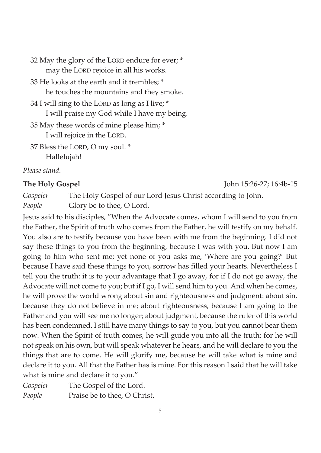32 May the glory of the LORD endure for ever; \* may the LORD rejoice in all his works. 33 He looks at the earth and it trembles; \* he touches the mountains and they smoke. 34 I will sing to the LORD as long as I live; \* I will praise my God while I have my being. 35 May these words of mine please him; \*

I will rejoice in the LORD.

37 Bless the LORD, O my soul. \* Hallelujah!

*Please stand.* 

*Gospeler* The Holy Gospel of our Lord Jesus Christ according to John. *People* Glory be to thee, O Lord.

Jesus said to his disciples, "When the Advocate comes, whom I will send to you from the Father, the Spirit of truth who comes from the Father, he will testify on my behalf. You also are to testify because you have been with me from the beginning. I did not say these things to you from the beginning, because I was with you. But now I am going to him who sent me; yet none of you asks me, 'Where are you going?' But because I have said these things to you, sorrow has filled your hearts. Nevertheless I tell you the truth: it is to your advantage that I go away, for if I do not go away, the Advocate will not come to you; but if I go, I will send him to you. And when he comes, he will prove the world wrong about sin and righteousness and judgment: about sin, because they do not believe in me; about righteousness, because I am going to the Father and you will see me no longer; about judgment, because the ruler of this world has been condemned. I still have many things to say to you, but you cannot bear them now. When the Spirit of truth comes, he will guide you into all the truth; for he will not speak on his own, but will speak whatever he hears, and he will declare to you the things that are to come. He will glorify me, because he will take what is mine and declare it to you. All that the Father has is mine. For this reason I said that he will take what is mine and declare it to you."

*Gospeler* The Gospel of the Lord. *People* Praise be to thee, O Christ.

**The Holy Gospel** John 15:26-27; 16:4b-15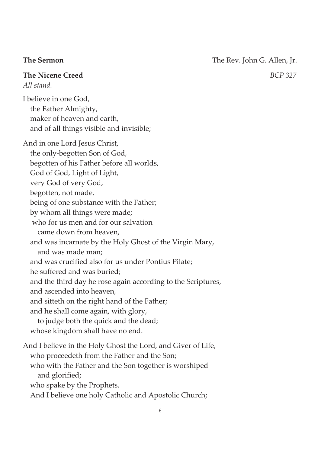**The Sermon** The Rev. John G. Allen, Jr.

**The Nicene Creed** *BCP 327 All stand.* 

I believe in one God, the Father Almighty, maker of heaven and earth, and of all things visible and invisible;

And in one Lord Jesus Christ, the only-begotten Son of God, begotten of his Father before all worlds, God of God, Light of Light, very God of very God, begotten, not made, being of one substance with the Father; by whom all things were made; who for us men and for our salvation came down from heaven, and was incarnate by the Holy Ghost of the Virgin Mary, and was made man; and was crucified also for us under Pontius Pilate; he suffered and was buried; and the third day he rose again according to the Scriptures, and ascended into heaven, and sitteth on the right hand of the Father; and he shall come again, with glory, to judge both the quick and the dead; whose kingdom shall have no end. And I believe in the Holy Ghost the Lord, and Giver of Life,

 who proceedeth from the Father and the Son; who with the Father and the Son together is worshiped and glorified; who spake by the Prophets. And I believe one holy Catholic and Apostolic Church;

6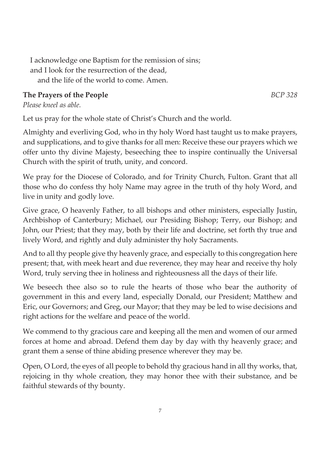I acknowledge one Baptism for the remission of sins; and I look for the resurrection of the dead, and the life of the world to come. Amen.

### **The Prayers of the People** *BCP 328*

*Please kneel as able.* 

Let us pray for the whole state of Christ's Church and the world.

Almighty and everliving God, who in thy holy Word hast taught us to make prayers, and supplications, and to give thanks for all men: Receive these our prayers which we offer unto thy divine Majesty, beseeching thee to inspire continually the Universal Church with the spirit of truth, unity, and concord.

We pray for the Diocese of Colorado, and for Trinity Church, Fulton. Grant that all those who do confess thy holy Name may agree in the truth of thy holy Word, and live in unity and godly love.

Give grace, O heavenly Father, to all bishops and other ministers, especially Justin, Archbishop of Canterbury; Michael, our Presiding Bishop; Terry, our Bishop; and John, our Priest; that they may, both by their life and doctrine, set forth thy true and lively Word, and rightly and duly administer thy holy Sacraments.

And to all thy people give thy heavenly grace, and especially to this congregation here present; that, with meek heart and due reverence, they may hear and receive thy holy Word, truly serving thee in holiness and righteousness all the days of their life.

We beseech thee also so to rule the hearts of those who bear the authority of government in this and every land, especially Donald, our President; Matthew and Eric, our Governors; and Greg, our Mayor; that they may be led to wise decisions and right actions for the welfare and peace of the world.

We commend to thy gracious care and keeping all the men and women of our armed forces at home and abroad. Defend them day by day with thy heavenly grace; and grant them a sense of thine abiding presence wherever they may be.

Open, O Lord, the eyes of all people to behold thy gracious hand in all thy works, that, rejoicing in thy whole creation, they may honor thee with their substance, and be faithful stewards of thy bounty.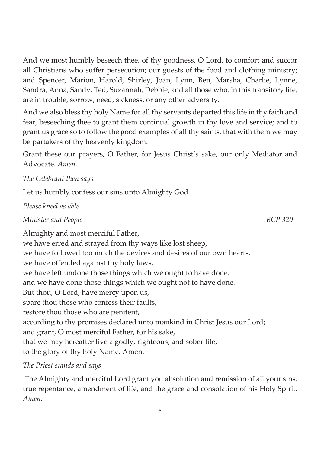And we most humbly beseech thee, of thy goodness, O Lord, to comfort and succor all Christians who suffer persecution; our guests of the food and clothing ministry; and Spencer, Marion, Harold, Shirley, Joan, Lynn, Ben, Marsha, Charlie, Lynne, Sandra, Anna, Sandy, Ted, Suzannah, Debbie, and all those who, in this transitory life, are in trouble, sorrow, need, sickness, or any other adversity.

And we also bless thy holy Name for all thy servants departed this life in thy faith and fear, beseeching thee to grant them continual growth in thy love and service; and to grant us grace so to follow the good examples of all thy saints, that with them we may be partakers of thy heavenly kingdom.

Grant these our prayers, O Father, for Jesus Christ's sake, our only Mediator and Advocate. *Amen.* 

#### *The Celebrant then says*

Let us humbly confess our sins unto Almighty God.

*Please kneel as able.* 

*Minister and People BCP 320* 

Almighty and most merciful Father, we have erred and strayed from thy ways like lost sheep, we have followed too much the devices and desires of our own hearts, we have offended against thy holy laws, we have left undone those things which we ought to have done, and we have done those things which we ought not to have done. But thou, O Lord, have mercy upon us, spare thou those who confess their faults, restore thou those who are penitent, according to thy promises declared unto mankind in Christ Jesus our Lord; and grant, O most merciful Father, for his sake, that we may hereafter live a godly, righteous, and sober life, to the glory of thy holy Name. Amen.

#### *The Priest stands and says*

The Almighty and merciful Lord grant you absolution and remission of all your sins, true repentance, amendment of life, and the grace and consolation of his Holy Spirit. *Amen*.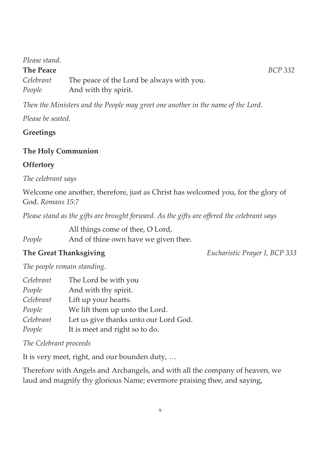#### *Please stand.*

#### **The Peace** *BCP 332*

*Celebrant* The peace of the Lord be always with you. *People* And with thy spirit.

*Then the Ministers and the People may greet one another in the name of the Lord.* 

*Please be seated.* 

#### **Greetings**

#### **The Holy Communion**

#### **Offertory**

*The celebrant says* 

Welcome one another, therefore, just as Christ has welcomed you, for the glory of God. *Romans 15:7* 

*Please stand as the gifts are brought forward. As the gifts are offered the celebrant says* 

All things come of thee, O Lord,

*People* And of thine own have we given thee.

**The Great Thanksgiving** *Eucharistic Prayer I, BCP 333*

*The people remain standing.* 

| Celebrant | The Lord be with you                  |
|-----------|---------------------------------------|
| People    | And with thy spirit.                  |
| Celebrant | Lift up your hearts.                  |
| People    | We lift them up unto the Lord.        |
| Celebrant | Let us give thanks unto our Lord God. |
| People    | It is meet and right so to do.        |

#### *The Celebrant proceeds*

It is very meet, right, and our bounden duty, …

Therefore with Angels and Archangels, and with all the company of heaven, we laud and magnify thy glorious Name; evermore praising thee, and saying,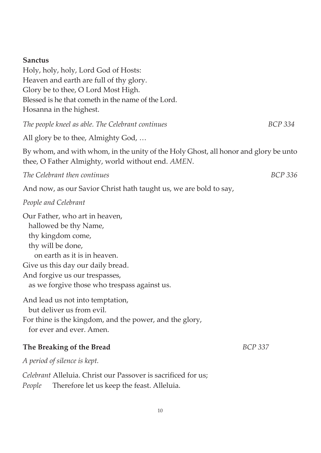| <b>Sanctus</b><br>Holy, holy, holy, Lord God of Hosts:<br>Heaven and earth are full of thy glory.<br>Glory be to thee, O Lord Most High.<br>Blessed is he that cometh in the name of the Lord.<br>Hosanna in the highest.                                |                |
|----------------------------------------------------------------------------------------------------------------------------------------------------------------------------------------------------------------------------------------------------------|----------------|
| The people kneel as able. The Celebrant continues                                                                                                                                                                                                        | <b>BCP 334</b> |
| All glory be to thee, Almighty God,                                                                                                                                                                                                                      |                |
| By whom, and with whom, in the unity of the Holy Ghost, all honor and glory be unto<br>thee, O Father Almighty, world without end. AMEN.                                                                                                                 |                |
| The Celebrant then continues                                                                                                                                                                                                                             | <b>BCP 336</b> |
| And now, as our Savior Christ hath taught us, we are bold to say,                                                                                                                                                                                        |                |
| People and Celebrant                                                                                                                                                                                                                                     |                |
| Our Father, who art in heaven,<br>hallowed be thy Name,<br>thy kingdom come,<br>thy will be done,<br>on earth as it is in heaven.<br>Give us this day our daily bread.<br>And forgive us our trespasses,<br>as we forgive those who trespass against us. |                |
| And lead us not into temptation,<br>but deliver us from evil.<br>For thine is the kingdom, and the power, and the glory,<br>for ever and ever. Amen.                                                                                                     |                |
| The Breaking of the Bread                                                                                                                                                                                                                                | <b>BCP 337</b> |
| A period of silence is kept.                                                                                                                                                                                                                             |                |

*Celebrant* Alleluia. Christ our Passover is sacrificed for us; *People* Therefore let us keep the feast. Alleluia.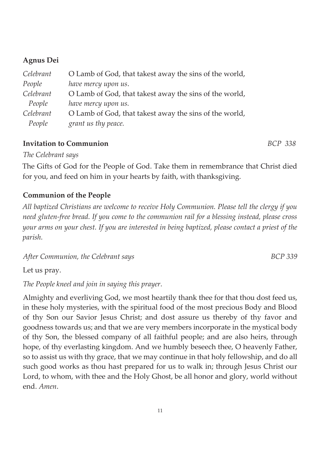#### **Agnus Dei**

| Celebrant | O Lamb of God, that takest away the sins of the world, |
|-----------|--------------------------------------------------------|
| People    | have mercy upon us.                                    |
| Celebrant | O Lamb of God, that takest away the sins of the world, |
| People    | have mercy upon us.                                    |
| Celebrant | O Lamb of God, that takest away the sins of the world, |
| People    | grant us thy peace.                                    |

#### **Invitation to Communion** *BCP 338*

*The Celebrant says*

The Gifts of God for the People of God. Take them in remembrance that Christ died for you, and feed on him in your hearts by faith, with thanksgiving.

#### **Communion of the People**

*All baptized Christians are welcome to receive Holy Communion. Please tell the clergy if you need gluten-free bread. If you come to the communion rail for a blessing instead, please cross your arms on your chest. If you are interested in being baptized, please contact a priest of the parish.* 

After Communion, the Celebrant says **BCP** 339

Let us pray.

*The People kneel and join in saying this prayer.* 

Almighty and everliving God, we most heartily thank thee for that thou dost feed us, in these holy mysteries, with the spiritual food of the most precious Body and Blood of thy Son our Savior Jesus Christ; and dost assure us thereby of thy favor and goodness towards us; and that we are very members incorporate in the mystical body of thy Son, the blessed company of all faithful people; and are also heirs, through hope, of thy everlasting kingdom. And we humbly beseech thee, O heavenly Father, so to assist us with thy grace, that we may continue in that holy fellowship, and do all such good works as thou hast prepared for us to walk in; through Jesus Christ our Lord, to whom, with thee and the Holy Ghost, be all honor and glory, world without end. *Amen*.